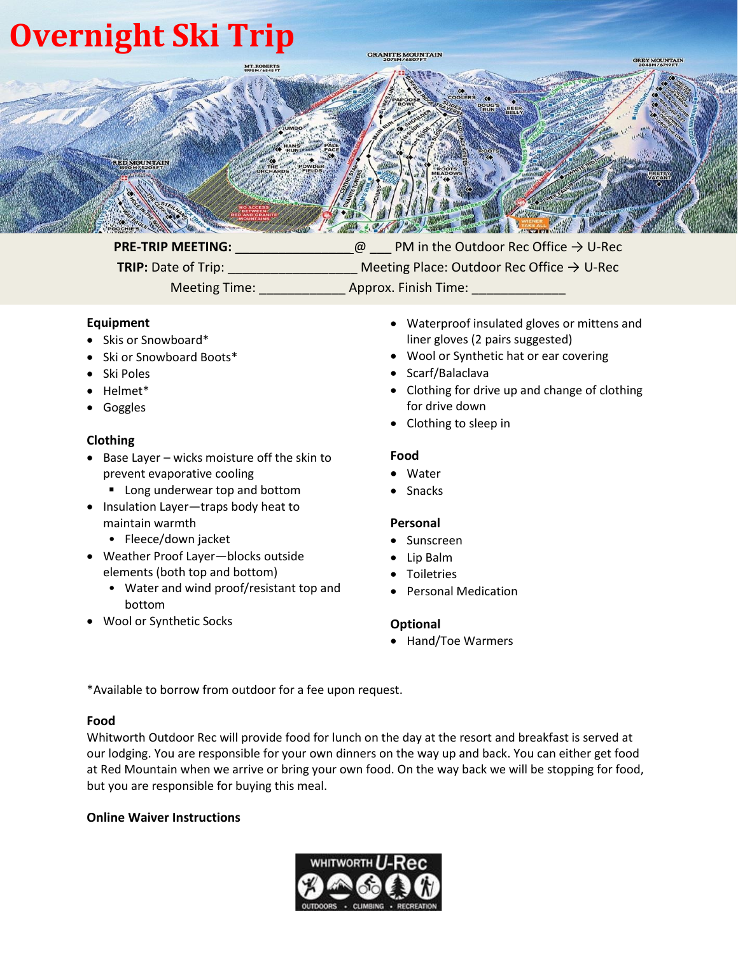# **Overnight Ski Trip**



**PRE-TRIP MEETING:**  $\qquad \qquad \qquad \textcircled{P} \qquad \text{PM}$  in the Outdoor Rec Office → U-Rec **TRIP:** Date of Trip: \_\_\_\_\_\_\_\_\_\_\_\_\_\_\_\_\_\_\_ Meeting Place: Outdoor Rec Office → U-Rec Meeting Time: \_\_\_\_\_\_\_\_\_\_\_\_ Approx. Finish Time: \_\_\_\_\_\_\_\_\_\_\_\_\_

## **Equipment**

- Skis or Snowboard\*
- Ski or Snowboard Boots\*
- Ski Poles
- Helmet\*
- Goggles

### **Clothing**

- Base Layer wicks moisture off the skin to prevent evaporative cooling
	- Long underwear top and bottom
- Insulation Layer—traps body heat to maintain warmth
	- Fleece/down jacket
- Weather Proof Layer—blocks outside elements (both top and bottom)
	- Water and wind proof/resistant top and bottom
- Wool or Synthetic Socks
- Waterproof insulated gloves or mittens and liner gloves (2 pairs suggested)
- Wool or Synthetic hat or ear covering
- Scarf/Balaclava
- Clothing for drive up and change of clothing for drive down
- Clothing to sleep in

#### **Food**

- Water
- **Snacks**

#### **Personal**

- Sunscreen
- Lip Balm
- Toiletries
- Personal Medication

#### **Optional**

• Hand/Toe Warmers

\*Available to borrow from outdoor for a fee upon request.

#### **Food**

Whitworth Outdoor Rec will provide food for lunch on the day at the resort and breakfast is served at our lodging. You are responsible for your own dinners on the way up and back. You can either get food at Red Mountain when we arrive or bring your own food. On the way back we will be stopping for food, but you are responsible for buying this meal.

#### **Online Waiver Instructions**